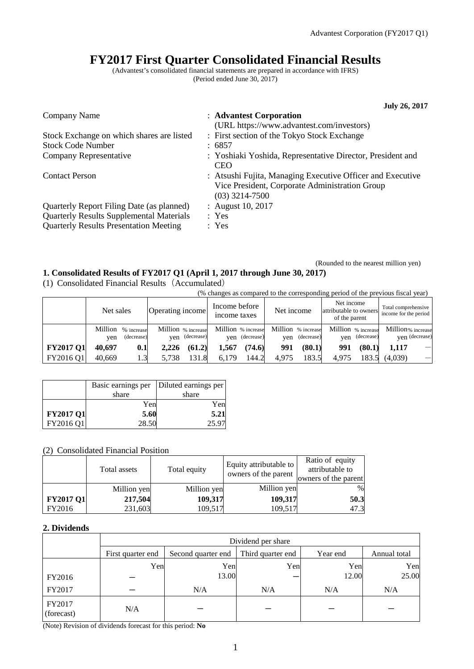# **FY2017 First Quarter Consolidated Financial Results**

(Advantest's consolidated financial statements are prepared in accordance with IFRS) (Period ended June 30, 2017)

|                                                 | <b>July 26, 2017</b>                                                                                                             |
|-------------------------------------------------|----------------------------------------------------------------------------------------------------------------------------------|
| Company Name                                    | : Advantest Corporation                                                                                                          |
| Stock Exchange on which shares are listed       | (URL https://www.advantest.com/investors)<br>: First section of the Tokyo Stock Exchange                                         |
| <b>Stock Code Number</b>                        | : 6857                                                                                                                           |
| Company Representative                          | : Yoshiaki Yoshida, Representative Director, President and<br><b>CEO</b>                                                         |
| <b>Contact Person</b>                           | : Atsushi Fujita, Managing Executive Officer and Executive<br>Vice President, Corporate Administration Group<br>$(03)$ 3214-7500 |
| Quarterly Report Filing Date (as planned)       | : August 10, 2017                                                                                                                |
| <b>Quarterly Results Supplemental Materials</b> | : Yes                                                                                                                            |
| <b>Quarterly Results Presentation Meeting</b>   | : Yes                                                                                                                            |

(Rounded to the nearest million yen)

### **1. Consolidated Results of FY2017 Q1 (April 1, 2017 through June 30, 2017)**

(1) Consolidated Financial Results(Accumulated)

(% changes as compared to the corresponding period of the previous fiscal year)

|                  | Net sales      |                          | Operating income |                                      | Income before<br>income taxes |                                      | Net income |                                      | Net income<br>attributable to owners<br>of the parent |            | Total comprehensive<br>income for the period |                          |
|------------------|----------------|--------------------------|------------------|--------------------------------------|-------------------------------|--------------------------------------|------------|--------------------------------------|-------------------------------------------------------|------------|----------------------------------------------|--------------------------|
|                  | Million<br>ven | % increase<br>(decrease) |                  | Million % increase<br>yen (decrease) |                               | Million % increase<br>yen (decrease) |            | Million % increase<br>yen (decrease) | Million % increase<br>ven                             | (decrease) | Million% increase                            | ven (decrease)           |
| <b>FY2017 Q1</b> | 40.697         | 0.1                      | 2.226            | (61.2)                               | 1.567                         | (74.6)                               | 991        | (80.1)                               | 991                                                   | (80.1)     | 1.117                                        | $\overline{\phantom{m}}$ |
| FY2016 Q1        | 40.669         | 1.3                      | 5.738            | 131.8                                | 6,179                         | 144.2                                | 4.975      | 183.5                                | 4.975                                                 | 183.5      | (4.039)                                      |                          |

|                  | Basic earnings per | Diluted earnings per |
|------------------|--------------------|----------------------|
|                  | share              | share                |
|                  | Yen                | Yen                  |
| <b>FY2017 Q1</b> | 5.60               | 5.21                 |
| FY2016 Q1        | 28.50              | 25.97                |

#### (2) Consolidated Financial Position

|                  | Total assets | Total equity | Equity attributable to<br>owners of the parent | Ratio of equity<br>attributable to<br>owners of the parent |
|------------------|--------------|--------------|------------------------------------------------|------------------------------------------------------------|
|                  | Million yen  | Million yen  | Million yen                                    | $\frac{0}{0}$                                              |
| <b>FY2017 Q1</b> | 217,504      | 109,317      | 109,317                                        | 50.3                                                       |
| FY2016           | 231,603      | 109,517      | 109,517                                        | 47.3                                                       |

### **2. Dividends**

|                      | Dividend per share |                    |                   |          |              |  |  |
|----------------------|--------------------|--------------------|-------------------|----------|--------------|--|--|
|                      | First quarter end  | Second quarter end | Third quarter end | Year end | Annual total |  |  |
|                      | Yen                | Yen                | Yen               | Yen      | Yen          |  |  |
| FY2016               |                    | 13.00              |                   | 12.00    | 25.00        |  |  |
| FY2017               |                    | N/A                | N/A               | N/A      | N/A          |  |  |
| FY2017<br>(forecast) | N/A                |                    |                   |          |              |  |  |

(Note) Revision of dividends forecast for this period: **No**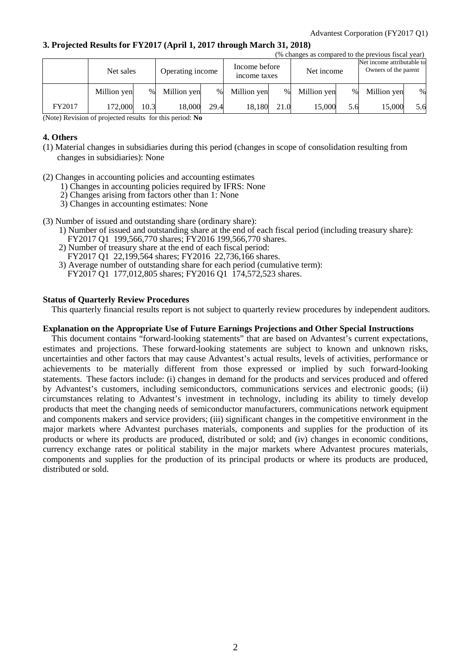#### **3. Projected Results for FY2017 (April 1, 2017 through March 31, 2018)**

|        | (% changes as compared to the previous fiscal year) |      |                  |      |             |                               |             |            |             |                                                    |
|--------|-----------------------------------------------------|------|------------------|------|-------------|-------------------------------|-------------|------------|-------------|----------------------------------------------------|
|        | Net sales                                           |      | Operating income |      |             | Income before<br>income taxes |             | Net income |             | Net income attributable to<br>Owners of the parent |
|        | Million yen                                         | $\%$ | Million yen      | $\%$ | Million yen | $\%$                          | Million yen | $\%$       | Million yen | $\%$                                               |
| FY2017 | 172,000                                             | 10.3 | 18.000           | 29.4 | 18,180      | 21.0                          | 15.000      | 5.6        | 15,000      | 5.6                                                |

(Note) Revision of projected results for this period: **No**

#### **4. Others**

- (1) Material changes in subsidiaries during this period (changes in scope of consolidation resulting from changes in subsidiaries): None
- (2) Changes in accounting policies and accounting estimates
	- 1) Changes in accounting policies required by IFRS: None
	- 2) Changes arising from factors other than 1: None
	- 3) Changes in accounting estimates: None
- (3) Number of issued and outstanding share (ordinary share):
	- 1) Number of issued and outstanding share at the end of each fiscal period (including treasury share):
	- FY2017 Q1 199,566,770 shares; FY2016 199,566,770 shares.
	- 2) Number of treasury share at the end of each fiscal period:
	- FY2017 Q1 22,199,564 shares; FY2016 22,736,166 shares.
	- 3) Average number of outstanding share for each period (cumulative term):
	- FY2017 Q1 177,012,805 shares; FY2016 Q1 174,572,523 shares.

#### **Status of Quarterly Review Procedures**

This quarterly financial results report is not subject to quarterly review procedures by independent auditors.

#### **Explanation on the Appropriate Use of Future Earnings Projections and Other Special Instructions**

This document contains "forward-looking statements" that are based on Advantest's current expectations, estimates and projections. These forward-looking statements are subject to known and unknown risks, uncertainties and other factors that may cause Advantest's actual results, levels of activities, performance or achievements to be materially different from those expressed or implied by such forward-looking statements. These factors include: (i) changes in demand for the products and services produced and offered by Advantest's customers, including semiconductors, communications services and electronic goods; (ii) circumstances relating to Advantest's investment in technology, including its ability to timely develop products that meet the changing needs of semiconductor manufacturers, communications network equipment and components makers and service providers; (iii) significant changes in the competitive environment in the major markets where Advantest purchases materials, components and supplies for the production of its products or where its products are produced, distributed or sold; and (iv) changes in economic conditions, currency exchange rates or political stability in the major markets where Advantest procures materials, components and supplies for the production of its principal products or where its products are produced, distributed or sold.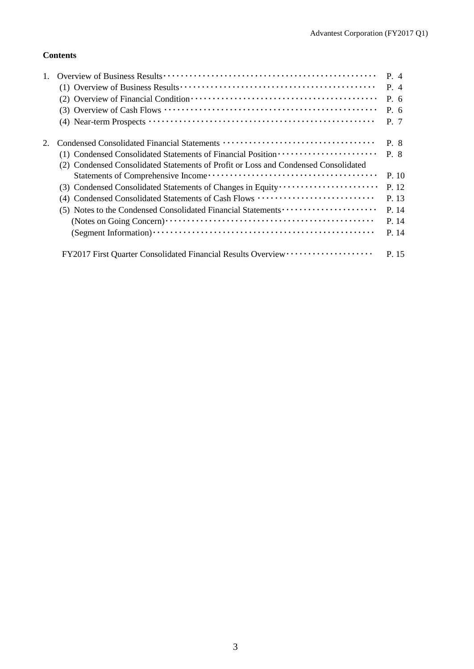## **Contents**

|                                                                                    | $P_4$ |
|------------------------------------------------------------------------------------|-------|
|                                                                                    | P. 4  |
|                                                                                    | P. 6  |
|                                                                                    | P. 6  |
|                                                                                    | P. 7  |
|                                                                                    | P. 8  |
| (1) Condensed Consolidated Statements of Financial Position ·····················  | P. 8  |
| (2) Condensed Consolidated Statements of Profit or Loss and Condensed Consolidated |       |
|                                                                                    | P. 10 |
|                                                                                    | P. 12 |
| Condensed Consolidated Statements of Cash Flows                                    | P. 13 |
| (5) Notes to the Condensed Consolidated Financial Statements                       | P. 14 |
|                                                                                    | P. 14 |
|                                                                                    | P. 14 |
|                                                                                    | P. 15 |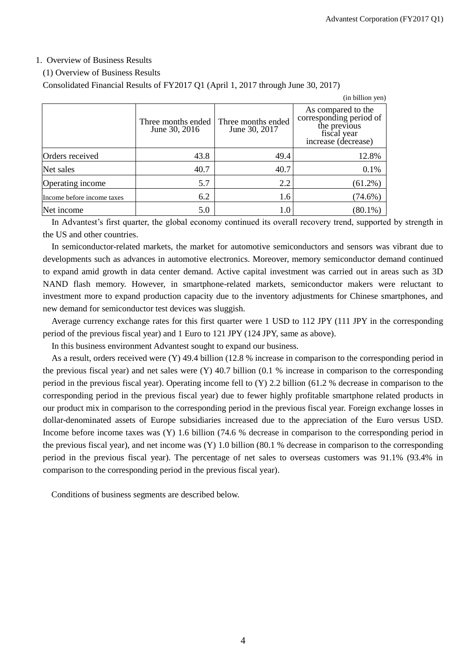#### 1. Overview of Business Results

#### (1) Overview of Business Results

Consolidated Financial Results of FY2017 Q1 (April 1, 2017 through June 30, 2017)

|                            |                                     |                                     | (in billion yen)                                                                                    |
|----------------------------|-------------------------------------|-------------------------------------|-----------------------------------------------------------------------------------------------------|
|                            | Three months ended<br>June 30, 2016 | Three months ended<br>June 30, 2017 | As compared to the<br>corresponding period of<br>the previous<br>fiscal year<br>increase (decrease) |
| Orders received            | 43.8                                | 49.4                                | 12.8%                                                                                               |
| Net sales                  | 40.7                                | 40.7                                | 0.1%                                                                                                |
| Operating income           | 5.7                                 | 2.2                                 | $(61.2\%)$                                                                                          |
| Income before income taxes | 6.2                                 | 1.6                                 | $(74.6\%)$                                                                                          |
| Net income                 | 5.0                                 | $1.0\,$                             | $(80.1\%)$                                                                                          |

In Advantest's first quarter, the global economy continued its overall recovery trend, supported by strength in the US and other countries.

In semiconductor-related markets, the market for automotive semiconductors and sensors was vibrant due to developments such as advances in automotive electronics. Moreover, memory semiconductor demand continued to expand amid growth in data center demand. Active capital investment was carried out in areas such as 3D NAND flash memory. However, in smartphone-related markets, semiconductor makers were reluctant to investment more to expand production capacity due to the inventory adjustments for Chinese smartphones, and new demand for semiconductor test devices was sluggish.

Average currency exchange rates for this first quarter were 1 USD to 112 JPY (111 JPY in the corresponding period of the previous fiscal year) and 1 Euro to 121 JPY (124 JPY, same as above).

In this business environment Advantest sought to expand our business.

As a result, orders received were (Y) 49.4 billion (12.8 % increase in comparison to the corresponding period in the previous fiscal year) and net sales were (Y) 40.7 billion (0.1 % increase in comparison to the corresponding period in the previous fiscal year). Operating income fell to (Y) 2.2 billion (61.2 % decrease in comparison to the corresponding period in the previous fiscal year) due to fewer highly profitable smartphone related products in our product mix in comparison to the corresponding period in the previous fiscal year. Foreign exchange losses in dollar-denominated assets of Europe subsidiaries increased due to the appreciation of the Euro versus USD. Income before income taxes was (Y) 1.6 billion (74.6 % decrease in comparison to the corresponding period in the previous fiscal year), and net income was (Y) 1.0 billion (80.1 % decrease in comparison to the corresponding period in the previous fiscal year). The percentage of net sales to overseas customers was 91.1% (93.4% in comparison to the corresponding period in the previous fiscal year).

Conditions of business segments are described below.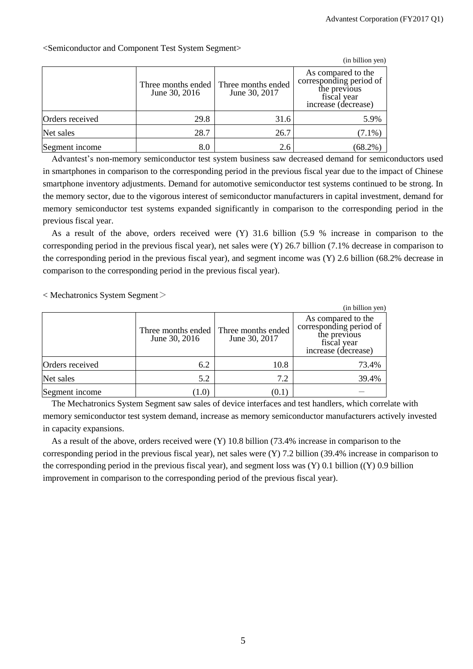|                 |                                     |                                     | (in billion yen)                                                                                    |
|-----------------|-------------------------------------|-------------------------------------|-----------------------------------------------------------------------------------------------------|
|                 | Three months ended<br>June 30, 2016 | Three months ended<br>June 30, 2017 | As compared to the<br>corresponding period of<br>the previous<br>fiscal year<br>increase (decrease) |
| Orders received | 29.8                                | 31.6                                | 5.9%                                                                                                |
| Net sales       | 28.7                                | 26.7                                | $(7.1\%)$                                                                                           |
| Segment income  | 8.0                                 | 2.6                                 | (68.2%                                                                                              |

<Semiconductor and Component Test System Segment>

Advantest's non-memory semiconductor test system business saw decreased demand for semiconductors used in smartphones in comparison to the corresponding period in the previous fiscal year due to the impact of Chinese smartphone inventory adjustments. Demand for automotive semiconductor test systems continued to be strong. In the memory sector, due to the vigorous interest of semiconductor manufacturers in capital investment, demand for memory semiconductor test systems expanded significantly in comparison to the corresponding period in the previous fiscal year.

As a result of the above, orders received were (Y) 31.6 billion (5.9 % increase in comparison to the corresponding period in the previous fiscal year), net sales were (Y) 26.7 billion (7.1% decrease in comparison to the corresponding period in the previous fiscal year), and segment income was (Y) 2.6 billion (68.2% decrease in comparison to the corresponding period in the previous fiscal year).

< Mechatronics System Segment>

|                 |               |                                                          | (in billion yen)                                                                                    |
|-----------------|---------------|----------------------------------------------------------|-----------------------------------------------------------------------------------------------------|
|                 | June 30, 2016 | Three months ended   Three months ended<br>June 30, 2017 | As compared to the<br>corresponding period of<br>the previous<br>fiscal year<br>increase (decrease) |
| Orders received | 6.2           | 10.8                                                     | 73.4%                                                                                               |
| Net sales       | 5.2           | 7.2                                                      | 39.4%                                                                                               |
| Segment income  | (1.0)         | [U.I                                                     |                                                                                                     |

The Mechatronics System Segment saw sales of device interfaces and test handlers, which correlate with memory semiconductor test system demand, increase as memory semiconductor manufacturers actively invested in capacity expansions.

As a result of the above, orders received were (Y) 10.8 billion (73.4% increase in comparison to the corresponding period in the previous fiscal year), net sales were (Y) 7.2 billion (39.4% increase in comparison to the corresponding period in the previous fiscal year), and segment loss was (Y) 0.1 billion ((Y) 0.9 billion improvement in comparison to the corresponding period of the previous fiscal year).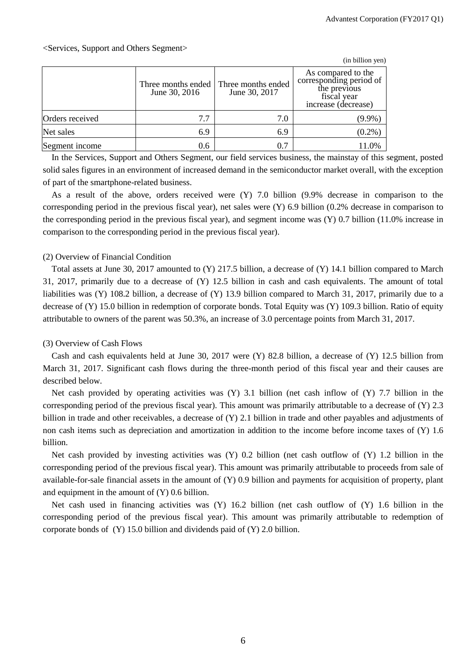|                 |                                     |                                     | (in billion yen)                                                                                    |
|-----------------|-------------------------------------|-------------------------------------|-----------------------------------------------------------------------------------------------------|
|                 | Three months ended<br>June 30, 2016 | Three months ended<br>June 30, 2017 | As compared to the<br>corresponding period of<br>the previous<br>fiscal year<br>increase (decrease) |
| Orders received | 7.7                                 | 7.0                                 | $(9.9\%)$                                                                                           |
| Net sales       | 6.9                                 | 6.9                                 | $(0.2\%)$                                                                                           |
| Segment income  | 0.6                                 | 0.7                                 | 11.0%                                                                                               |

In the Services, Support and Others Segment, our field services business, the mainstay of this segment, posted solid sales figures in an environment of increased demand in the semiconductor market overall, with the exception of part of the smartphone-related business.

As a result of the above, orders received were (Y) 7.0 billion (9.9% decrease in comparison to the corresponding period in the previous fiscal year), net sales were (Y) 6.9 billion (0.2% decrease in comparison to the corresponding period in the previous fiscal year), and segment income was (Y) 0.7 billion (11.0% increase in comparison to the corresponding period in the previous fiscal year).

#### (2) Overview of Financial Condition

Total assets at June 30, 2017 amounted to (Y) 217.5 billion, a decrease of (Y) 14.1 billion compared to March 31, 2017, primarily due to a decrease of (Y) 12.5 billion in cash and cash equivalents. The amount of total liabilities was (Y) 108.2 billion, a decrease of (Y) 13.9 billion compared to March 31, 2017, primarily due to a decrease of (Y) 15.0 billion in redemption of corporate bonds. Total Equity was (Y) 109.3 billion. Ratio of equity attributable to owners of the parent was 50.3%, an increase of 3.0 percentage points from March 31, 2017.

#### (3) Overview of Cash Flows

Cash and cash equivalents held at June 30, 2017 were (Y) 82.8 billion, a decrease of (Y) 12.5 billion from March 31, 2017. Significant cash flows during the three-month period of this fiscal year and their causes are described below.

Net cash provided by operating activities was (Y) 3.1 billion (net cash inflow of (Y) 7.7 billion in the corresponding period of the previous fiscal year). This amount was primarily attributable to a decrease of (Y) 2.3 billion in trade and other receivables, a decrease of (Y) 2.1 billion in trade and other payables and adjustments of non cash items such as depreciation and amortization in addition to the income before income taxes of (Y) 1.6 billion.

Net cash provided by investing activities was (Y) 0.2 billion (net cash outflow of (Y) 1.2 billion in the corresponding period of the previous fiscal year). This amount was primarily attributable to proceeds from sale of available-for-sale financial assets in the amount of (Y) 0.9 billion and payments for acquisition of property, plant and equipment in the amount of (Y) 0.6 billion.

Net cash used in financing activities was (Y) 16.2 billion (net cash outflow of (Y) 1.6 billion in the corresponding period of the previous fiscal year). This amount was primarily attributable to redemption of corporate bonds of (Y) 15.0 billion and dividends paid of (Y) 2.0 billion.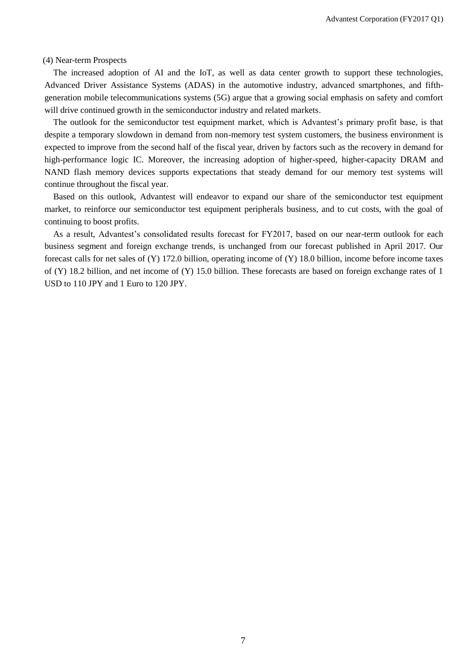(4) Near-term Prospects

The increased adoption of AI and the IoT, as well as data center growth to support these technologies, Advanced Driver Assistance Systems (ADAS) in the automotive industry, advanced smartphones, and fifthgeneration mobile telecommunications systems (5G) argue that a growing social emphasis on safety and comfort will drive continued growth in the semiconductor industry and related markets.

The outlook for the semiconductor test equipment market, which is Advantest's primary profit base, is that despite a temporary slowdown in demand from non-memory test system customers, the business environment is expected to improve from the second half of the fiscal year, driven by factors such as the recovery in demand for high-performance logic IC. Moreover, the increasing adoption of higher-speed, higher-capacity DRAM and NAND flash memory devices supports expectations that steady demand for our memory test systems will continue throughout the fiscal year.

Based on this outlook, Advantest will endeavor to expand our share of the semiconductor test equipment market, to reinforce our semiconductor test equipment peripherals business, and to cut costs, with the goal of continuing to boost profits.

As a result, Advantest's consolidated results forecast for FY2017, based on our near-term outlook for each business segment and foreign exchange trends, is unchanged from our forecast published in April 2017. Our forecast calls for net sales of (Y) 172.0 billion, operating income of (Y) 18.0 billion, income before income taxes of (Y) 18.2 billion, and net income of (Y) 15.0 billion. These forecasts are based on foreign exchange rates of 1 USD to 110 JPY and 1 Euro to 120 JPY.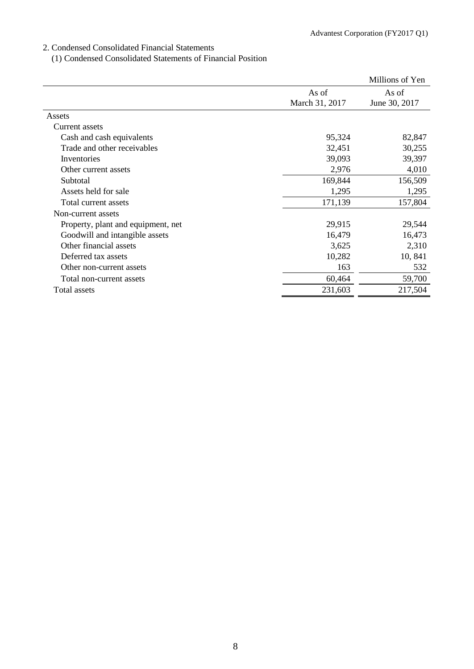#### 2. Condensed Consolidated Financial Statements

(1) Condensed Consolidated Statements of Financial Position

|                                    |                | Millions of Yen |
|------------------------------------|----------------|-----------------|
|                                    | As of          | As of           |
|                                    | March 31, 2017 | June 30, 2017   |
| Assets                             |                |                 |
| Current assets                     |                |                 |
| Cash and cash equivalents          | 95,324         | 82,847          |
| Trade and other receivables        | 32,451         | 30,255          |
| Inventories                        | 39,093         | 39,397          |
| Other current assets               | 2,976          | 4,010           |
| Subtotal                           | 169,844        | 156,509         |
| Assets held for sale               | 1,295          | 1,295           |
| Total current assets               | 171,139        | 157,804         |
| Non-current assets                 |                |                 |
| Property, plant and equipment, net | 29,915         | 29,544          |
| Goodwill and intangible assets     | 16,479         | 16,473          |
| Other financial assets             | 3,625          | 2,310           |
| Deferred tax assets                | 10,282         | 10, 841         |
| Other non-current assets           | 163            | 532             |
| Total non-current assets           | 60,464         | 59,700          |
| Total assets                       | 231,603        | 217,504         |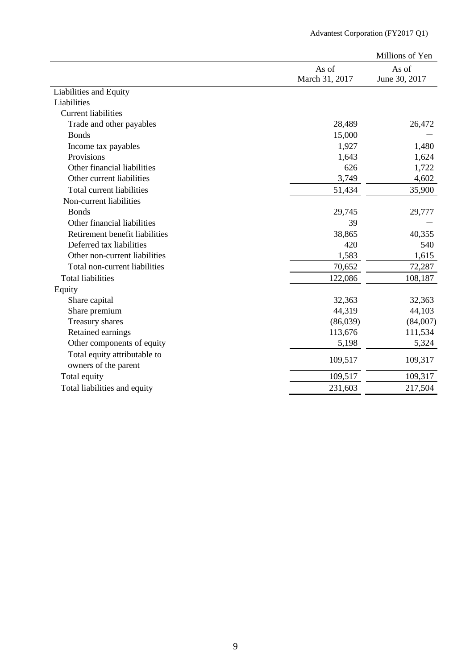|                                                      |                         | Millions of Yen        |
|------------------------------------------------------|-------------------------|------------------------|
|                                                      | As of<br>March 31, 2017 | As of<br>June 30, 2017 |
| Liabilities and Equity                               |                         |                        |
| Liabilities                                          |                         |                        |
| <b>Current liabilities</b>                           |                         |                        |
| Trade and other payables                             | 28,489                  | 26,472                 |
| <b>Bonds</b>                                         | 15,000                  |                        |
| Income tax payables                                  | 1,927                   | 1,480                  |
| Provisions                                           | 1,643                   | 1,624                  |
| Other financial liabilities                          | 626                     | 1,722                  |
| Other current liabilities                            | 3,749                   | 4,602                  |
| Total current liabilities                            | 51,434                  | 35,900                 |
| Non-current liabilities                              |                         |                        |
| <b>Bonds</b>                                         | 29,745                  | 29,777                 |
| Other financial liabilities                          | 39                      |                        |
| Retirement benefit liabilities                       | 38,865                  | 40,355                 |
| Deferred tax liabilities                             | 420                     | 540                    |
| Other non-current liabilities                        | 1,583                   | 1,615                  |
| Total non-current liabilities                        | 70,652                  | 72,287                 |
| <b>Total liabilities</b>                             | 122,086                 | 108,187                |
| Equity                                               |                         |                        |
| Share capital                                        | 32,363                  | 32,363                 |
| Share premium                                        | 44,319                  | 44,103                 |
| Treasury shares                                      | (86,039)                | (84,007)               |
| Retained earnings                                    | 113,676                 | 111,534                |
| Other components of equity                           | 5,198                   | 5,324                  |
| Total equity attributable to<br>owners of the parent | 109,517                 | 109,317                |
| Total equity                                         | 109,517                 | 109,317                |
| Total liabilities and equity                         | 231,603                 | 217,504                |
|                                                      |                         |                        |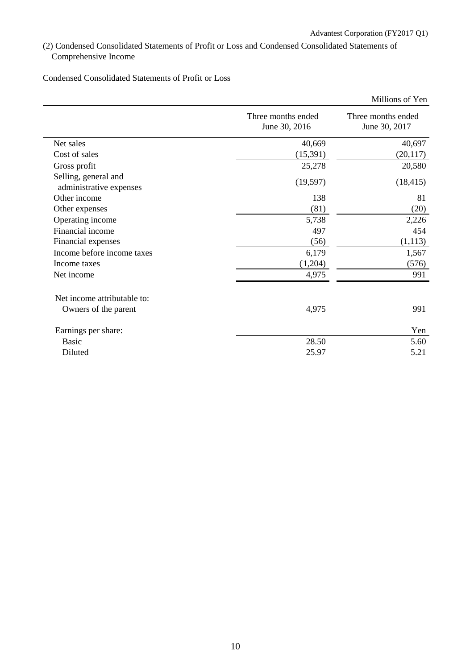(2) Condensed Consolidated Statements of Profit or Loss and Condensed Consolidated Statements of Comprehensive Income

Condensed Consolidated Statements of Profit or Loss

|                                                 |                                     | Millions of Yen                     |
|-------------------------------------------------|-------------------------------------|-------------------------------------|
|                                                 | Three months ended<br>June 30, 2016 | Three months ended<br>June 30, 2017 |
| Net sales                                       | 40,669                              | 40,697                              |
| Cost of sales                                   | (15,391)                            | (20, 117)                           |
| Gross profit                                    | 25,278                              | 20,580                              |
| Selling, general and<br>administrative expenses | (19, 597)                           | (18, 415)                           |
| Other income                                    | 138                                 | 81                                  |
| Other expenses                                  | (81)                                | (20)                                |
| Operating income                                | 5,738                               | 2,226                               |
| Financial income                                | 497                                 | 454                                 |
| Financial expenses                              | (56)                                | (1, 113)                            |
| Income before income taxes                      | 6,179                               | 1,567                               |
| Income taxes                                    | (1,204)                             | (576)                               |
| Net income                                      | 4,975                               | 991                                 |
| Net income attributable to:                     |                                     |                                     |
| Owners of the parent                            | 4,975                               | 991                                 |
| Earnings per share:                             |                                     | Yen                                 |
| Basic                                           | 28.50                               | 5.60                                |
| Diluted                                         | 25.97                               | 5.21                                |
|                                                 |                                     |                                     |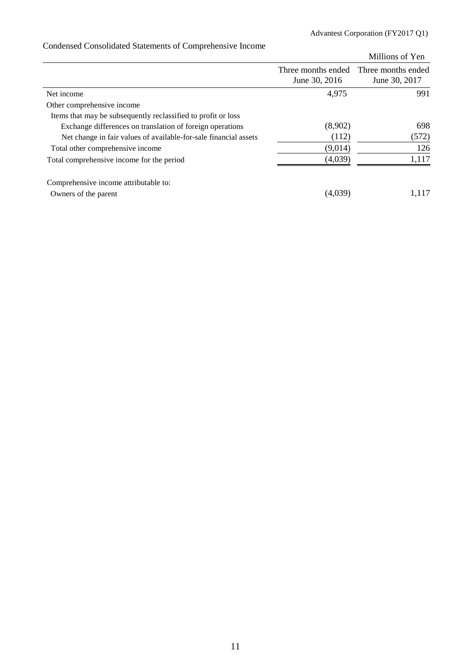|                                                                  |                    | Millions of Yen    |
|------------------------------------------------------------------|--------------------|--------------------|
|                                                                  | Three months ended | Three months ended |
|                                                                  | June 30, 2016      | June 30, 2017      |
| Net income                                                       | 4,975              | 991                |
| Other comprehensive income                                       |                    |                    |
| Items that may be subsequently reclassified to profit or loss    |                    |                    |
| Exchange differences on translation of foreign operations        | (8,902)            | 698                |
| Net change in fair values of available-for-sale financial assets | (112)              | (572)              |
| Total other comprehensive income                                 | (9,014)            | 126                |
| Total comprehensive income for the period                        | (4,039)            | 1,117              |
| Comprehensive income attributable to:                            |                    |                    |
| Owners of the parent                                             | (4,039)            | 1,117              |

# Condensed Consolidated Statements of Comprehensive Income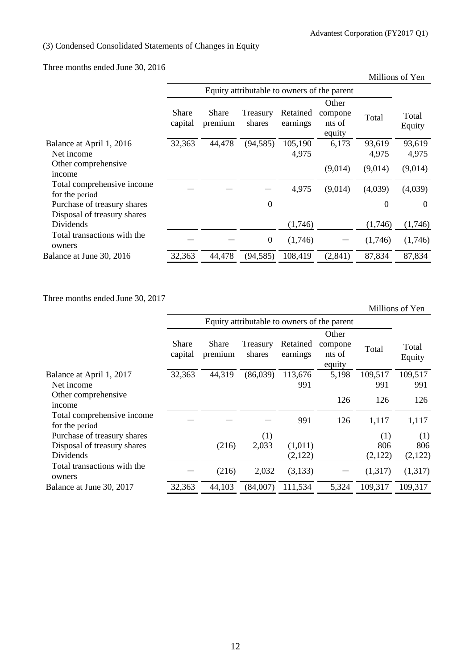# (3) Condensed Consolidated Statements of Changes in Equity

Three months ended June 30, 2016

|                  |                  |                    | Millions of Yen      |                             |                                             |                 |
|------------------|------------------|--------------------|----------------------|-----------------------------|---------------------------------------------|-----------------|
|                  |                  |                    |                      |                             |                                             |                 |
|                  |                  |                    |                      | Other                       |                                             |                 |
| Share<br>capital | Share<br>premium | Treasury<br>shares | Retained<br>earnings | compone<br>nts of<br>equity | Total                                       | Total<br>Equity |
| 32,363           | 44,478           | (94, 585)          | 105,190              | 6,173                       | 93,619                                      | 93,619          |
|                  |                  |                    |                      |                             |                                             | 4,975           |
|                  |                  |                    |                      | (9,014)                     | (9,014)                                     | (9,014)         |
|                  |                  |                    | 4,975                | (9,014)                     | (4,039)                                     | (4,039)         |
|                  |                  | $\theta$           |                      |                             | $\theta$                                    | $\theta$        |
|                  |                  |                    |                      |                             |                                             |                 |
|                  |                  |                    | (1,746)              |                             | (1,746)                                     | (1,746)         |
|                  |                  | $\boldsymbol{0}$   | (1,746)              |                             | (1,746)                                     | (1,746)         |
| 32,363           | 44,478           | (94, 585)          | 108,419              | (2,841)                     | 87,834                                      | 87,834          |
|                  |                  |                    |                      | 4,975                       | Equity attributable to owners of the parent | 4,975           |

Three months ended June 30, 2017

|                                              |                  |                  |                                             |                      |                                      |                | Millions of Yen |
|----------------------------------------------|------------------|------------------|---------------------------------------------|----------------------|--------------------------------------|----------------|-----------------|
|                                              |                  |                  | Equity attributable to owners of the parent |                      |                                      |                |                 |
|                                              | Share<br>capital | Share<br>premium | Treasury<br>shares                          | Retained<br>earnings | Other<br>compone<br>nts of<br>equity | Total          | Total<br>Equity |
| Balance at April 1, 2017<br>Net income       | 32,363           | 44,319           | (86,039)                                    | 113,676<br>991       | 5,198                                | 109,517<br>991 | 109,517<br>991  |
| Other comprehensive<br>income                |                  |                  |                                             |                      | 126                                  | 126            | 126             |
| Total comprehensive income<br>for the period |                  |                  |                                             | 991                  | 126                                  | 1,117          | 1,117           |
| Purchase of treasury shares                  |                  |                  | (1)                                         |                      |                                      | (1)            | (1)             |
| Disposal of treasury shares                  |                  | (216)            | 2,033                                       | (1,011)              |                                      | 806            | 806             |
| Dividends                                    |                  |                  |                                             | (2,122)              |                                      | (2,122)        | (2,122)         |
| Total transactions with the<br>owners        |                  | (216)            | 2,032                                       | (3,133)              |                                      | (1,317)        | (1,317)         |
| Balance at June 30, 2017                     | 32,363           | 44,103           | (84,007)                                    | 111,534              | 5,324                                | 109,317        | 109,317         |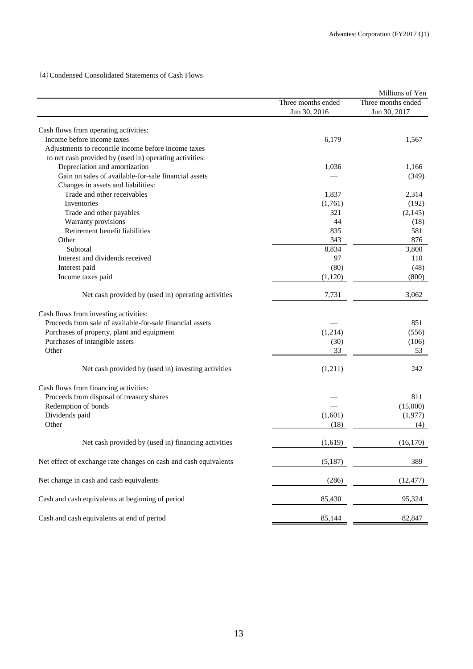(4)Condensed Consolidated Statements of Cash Flows

|                                                                  |                    | Millions of Yen    |
|------------------------------------------------------------------|--------------------|--------------------|
|                                                                  | Three months ended | Three months ended |
|                                                                  | Jun 30, 2016       | Jun 30, 2017       |
|                                                                  |                    |                    |
| Cash flows from operating activities:                            |                    |                    |
| Income before income taxes                                       | 6,179              | 1,567              |
| Adjustments to reconcile income before income taxes              |                    |                    |
| to net cash provided by (used in) operating activities:          |                    |                    |
| Depreciation and amortization                                    | 1,036              | 1,166              |
| Gain on sales of available-for-sale financial assets             |                    | (349)              |
| Changes in assets and liabilities:                               |                    |                    |
| Trade and other receivables                                      | 1,837              | 2,314              |
| Inventories                                                      | (1,761)            | (192)              |
| Trade and other payables                                         | 321                | (2,145)            |
| Warranty provisions                                              | 44                 | (18)               |
| Retirement benefit liabilities                                   | 835                | 581                |
| Other                                                            | 343                | 876                |
| Subtotal                                                         | 8,834              | 3,800              |
| Interest and dividends received                                  | 97                 | 110                |
|                                                                  | (80)               |                    |
| Interest paid                                                    |                    | (48)               |
| Income taxes paid                                                | (1,120)            | (800)              |
| Net cash provided by (used in) operating activities              | 7,731              | 3,062              |
| Cash flows from investing activities:                            |                    |                    |
| Proceeds from sale of available-for-sale financial assets        |                    | 851                |
| Purchases of property, plant and equipment                       | (1,214)            | (556)              |
|                                                                  |                    |                    |
| Purchases of intangible assets                                   | (30)               | (106)              |
| Other                                                            | 33                 | 53                 |
| Net cash provided by (used in) investing activities              | (1,211)            | 242                |
| Cash flows from financing activities:                            |                    |                    |
| Proceeds from disposal of treasury shares                        |                    | 811                |
| Redemption of bonds                                              |                    | (15,000)           |
|                                                                  |                    |                    |
| Dividends paid                                                   | (1,601)            | (1,977)            |
| Other                                                            | (18)               | (4)                |
| Net cash provided by (used in) financing activities              | (1,619)            | (16, 170)          |
| Net effect of exchange rate changes on cash and cash equivalents | (5,187)            | 389                |
| Net change in cash and cash equivalents                          | (286)              | (12, 477)          |
| Cash and cash equivalents at beginning of period                 | 85,430             | 95,324             |
| Cash and cash equivalents at end of period                       | 85,144             | 82,847             |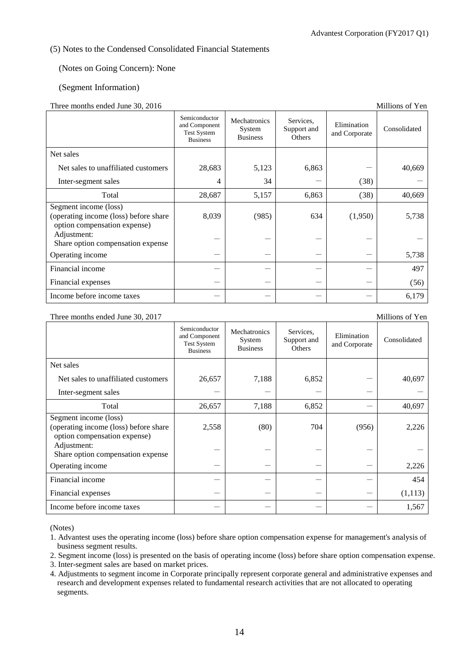#### (5) Notes to the Condensed Consolidated Financial Statements

#### (Notes on Going Concern): None

#### (Segment Information)

#### Three months ended June 30, 2016

| $1 \text{ m}$ ce montino endeu sune 50, 2010                                                   |                                                                         |                                           |                                    |                              |              |
|------------------------------------------------------------------------------------------------|-------------------------------------------------------------------------|-------------------------------------------|------------------------------------|------------------------------|--------------|
|                                                                                                | Semiconductor<br>and Component<br><b>Test System</b><br><b>Business</b> | Mechatronics<br>System<br><b>Business</b> | Services.<br>Support and<br>Others | Elimination<br>and Corporate | Consolidated |
| Net sales                                                                                      |                                                                         |                                           |                                    |                              |              |
| Net sales to unaffiliated customers                                                            | 28,683                                                                  | 5,123                                     | 6,863                              |                              | 40,669       |
| Inter-segment sales                                                                            | 4                                                                       | 34                                        |                                    | (38)                         |              |
| Total                                                                                          | 28,687                                                                  | 5,157                                     | 6,863                              | (38)                         | 40,669       |
| Segment income (loss)<br>(operating income (loss) before share<br>option compensation expense) | 8,039                                                                   | (985)                                     | 634                                | (1,950)                      | 5,738        |
| Adjustment:<br>Share option compensation expense                                               |                                                                         |                                           |                                    |                              |              |
| Operating income                                                                               |                                                                         |                                           |                                    |                              | 5,738        |
| Financial income                                                                               |                                                                         |                                           |                                    |                              | 497          |
| Financial expenses                                                                             |                                                                         |                                           |                                    |                              | (56)         |
| Income before income taxes                                                                     |                                                                         |                                           |                                    |                              | 6,179        |

Three months ended June 30, 2017 Millions of Yen

|                                                                                                | Semiconductor<br>and Component<br><b>Test System</b><br><b>Business</b> | Mechatronics<br>System<br><b>Business</b> | Services,<br>Support and<br><b>Others</b> | Elimination<br>and Corporate | Consolidated |
|------------------------------------------------------------------------------------------------|-------------------------------------------------------------------------|-------------------------------------------|-------------------------------------------|------------------------------|--------------|
| Net sales                                                                                      |                                                                         |                                           |                                           |                              |              |
| Net sales to unaffiliated customers                                                            | 26,657                                                                  | 7,188                                     | 6,852                                     |                              | 40,697       |
| Inter-segment sales                                                                            |                                                                         |                                           |                                           |                              |              |
| Total                                                                                          | 26,657                                                                  | 7,188                                     | 6,852                                     |                              | 40,697       |
| Segment income (loss)<br>(operating income (loss) before share<br>option compensation expense) | 2,558                                                                   | (80)                                      | 704                                       | (956)                        | 2,226        |
| Adjustment:<br>Share option compensation expense                                               |                                                                         |                                           |                                           |                              |              |
| Operating income                                                                               |                                                                         |                                           |                                           |                              | 2,226        |
| Financial income                                                                               |                                                                         |                                           |                                           |                              | 454          |
| Financial expenses                                                                             |                                                                         |                                           |                                           |                              | (1,113)      |
| Income before income taxes                                                                     |                                                                         |                                           |                                           |                              | 1,567        |

(Notes)

1. Advantest uses the operating income (loss) before share option compensation expense for management's analysis of business segment results.

2. Segment income (loss) is presented on the basis of operating income (loss) before share option compensation expense.

- 3. Inter-segment sales are based on market prices.
- 4. Adjustments to segment income in Corporate principally represent corporate general and administrative expenses and research and development expenses related to fundamental research activities that are not allocated to operating segments.